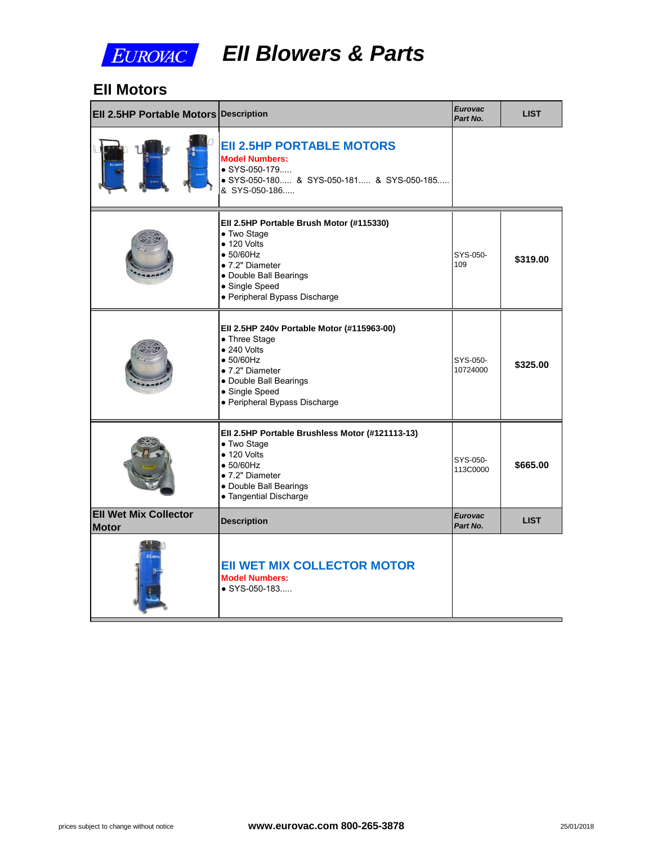

# *EII Blowers & Parts*

#### **EII Motors**

| <b>EII 2.5HP Portable Motors Description</b> |                                                                                                                                                                                                         | <b>Eurovac</b><br>Part No. |  |
|----------------------------------------------|---------------------------------------------------------------------------------------------------------------------------------------------------------------------------------------------------------|----------------------------|--|
|                                              | <b>EII 2.5HP PORTABLE MOTORS</b><br><b>Model Numbers:</b><br>$\bullet$ SYS-050-179<br>● SYS-050-180 & SYS-050-181 & SYS-050-185<br>& SYS-050-186                                                        |                            |  |
|                                              | Ell 2.5HP Portable Brush Motor (#115330)<br>• Two Stage<br>$\bullet$ 120 Volts<br>$\bullet$ 50/60Hz<br>• 7.2" Diameter<br>· Double Ball Bearings<br>• Single Speed<br>· Peripheral Bypass Discharge     | SYS-050-<br>109            |  |
|                                              | EII 2.5HP 240v Portable Motor (#115963-00)<br>• Three Stage<br>$\bullet$ 240 Volts<br>$\bullet$ 50/60Hz<br>• 7.2" Diameter<br>· Double Ball Bearings<br>• Single Speed<br>· Peripheral Bypass Discharge | SYS-050-<br>10724000       |  |
|                                              | Ell 2.5HP Portable Brushless Motor (#121113-13)<br>• Two Stage<br>$\bullet$ 120 Volts<br>$\bullet$ 50/60Hz<br>• 7.2" Diameter<br>· Double Ball Bearings<br>• Tangential Discharge                       | SYS-050-<br>113C0000       |  |
| <b>EII Wet Mix Collector</b><br><b>Motor</b> | <b>Description</b>                                                                                                                                                                                      | <b>Eurovac</b><br>Part No. |  |
|                                              | <b>EII WET MIX COLLECTOR MOTOR</b><br><b>Model Numbers:</b><br>$\bullet$ SYS-050-183                                                                                                                    |                            |  |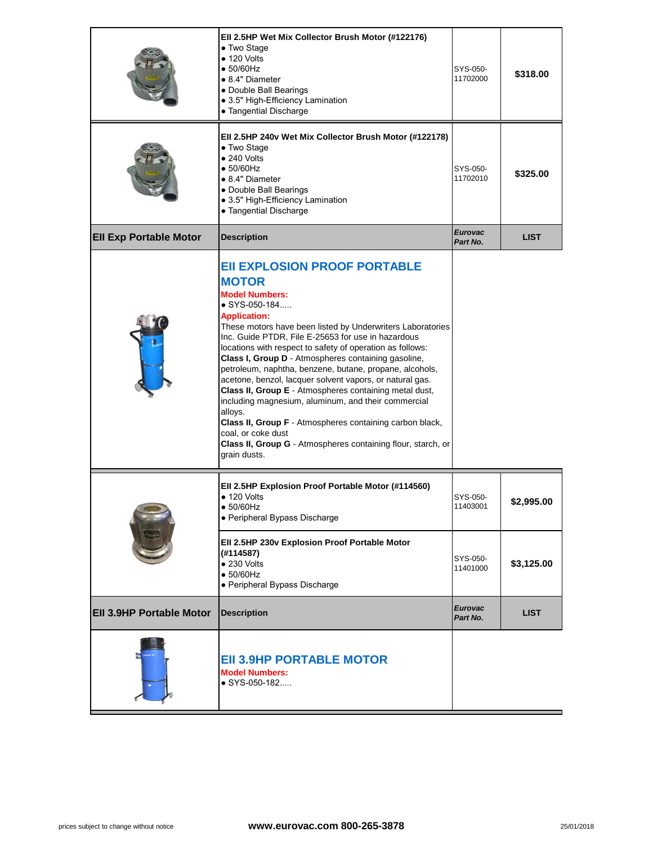|                                 | EII 2.5HP Wet Mix Collector Brush Motor (#122176)<br>• Two Stage<br>$\bullet$ 120 Volts<br>$\bullet$ 50/60Hz<br>• 8.4" Diameter<br>• Double Ball Bearings<br>· 3.5" High-Efficiency Lamination<br>• Tangential Discharge                                                                                                                                                                                                                                                                                                                                                                                                                                                                                                                                                          | SYS-050-<br>11702000       |
|---------------------------------|-----------------------------------------------------------------------------------------------------------------------------------------------------------------------------------------------------------------------------------------------------------------------------------------------------------------------------------------------------------------------------------------------------------------------------------------------------------------------------------------------------------------------------------------------------------------------------------------------------------------------------------------------------------------------------------------------------------------------------------------------------------------------------------|----------------------------|
|                                 | EII 2.5HP 240v Wet Mix Collector Brush Motor (#122178)<br>• Two Stage<br>$\bullet$ 240 Volts<br>$\bullet$ 50/60Hz<br>• 8.4" Diameter<br>• Double Ball Bearings<br>· 3.5" High-Efficiency Lamination<br>• Tangential Discharge                                                                                                                                                                                                                                                                                                                                                                                                                                                                                                                                                     | SYS-050-<br>11702010       |
| <b>Ell Exp Portable Motor</b>   | <b>Description</b>                                                                                                                                                                                                                                                                                                                                                                                                                                                                                                                                                                                                                                                                                                                                                                | <b>Eurovac</b><br>Part No. |
|                                 | <b>EII EXPLOSION PROOF PORTABLE</b><br><b>MOTOR</b><br><b>Model Numbers:</b><br>● SYS-050-184<br><b>Application:</b><br>These motors have been listed by Underwriters Laboratories<br>Inc. Guide PTDR, File E-25653 for use in hazardous<br>locations with respect to safety of operation as follows:<br>Class I, Group D - Atmospheres containing gasoline,<br>petroleum, naphtha, benzene, butane, propane, alcohols,<br>acetone, benzol, lacquer solvent vapors, or natural gas.<br>Class II, Group E - Atmospheres containing metal dust,<br>including magnesium, aluminum, and their commercial<br>alloys.<br>Class II, Group F - Atmospheres containing carbon black,<br>coal, or coke dust<br>Class II, Group G - Atmospheres containing flour, starch, or<br>grain dusts. |                            |
|                                 | Ell 2.5HP Explosion Proof Portable Motor (#114560)<br>$\bullet$ 120 Volts<br>$\bullet$ 50/60Hz<br>· Peripheral Bypass Discharge                                                                                                                                                                                                                                                                                                                                                                                                                                                                                                                                                                                                                                                   | SYS-050-<br>11403001       |
|                                 | Ell 2.5HP 230v Explosion Proof Portable Motor<br>(#114587)<br>$\bullet$ 230 Volts<br>$\bullet$ 50/60Hz<br>• Peripheral Bypass Discharge                                                                                                                                                                                                                                                                                                                                                                                                                                                                                                                                                                                                                                           | SYS-050-<br>11401000       |
| <b>EII 3.9HP Portable Motor</b> | <b>Description</b>                                                                                                                                                                                                                                                                                                                                                                                                                                                                                                                                                                                                                                                                                                                                                                | <b>Eurovac</b><br>Part No. |
|                                 | <b>EII 3.9HP PORTABLE MOTOR</b><br><b>Model Numbers:</b><br>● SYS-050-182                                                                                                                                                                                                                                                                                                                                                                                                                                                                                                                                                                                                                                                                                                         |                            |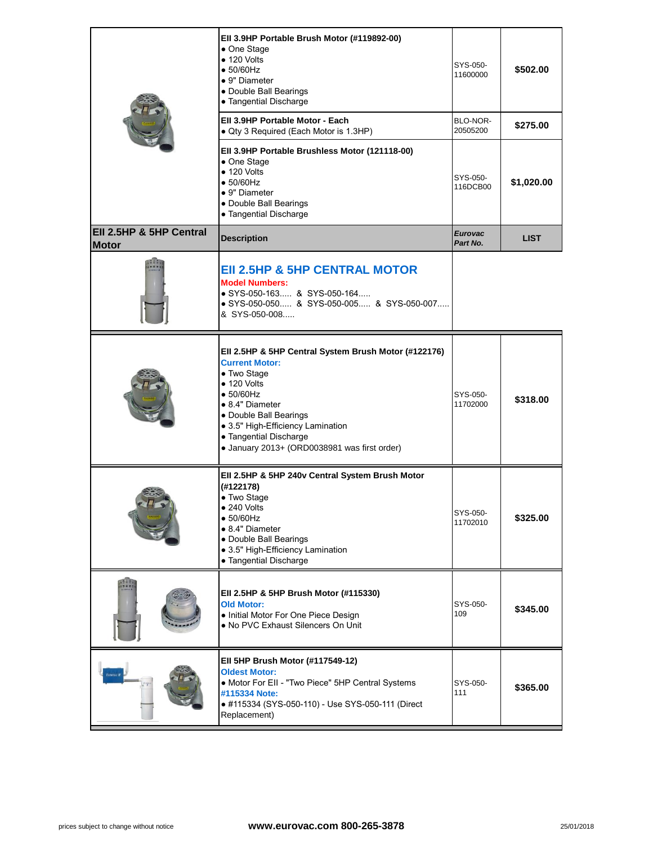|                                         | Ell 3.9HP Portable Brush Motor (#119892-00)<br>• One Stage<br>$\bullet$ 120 Volts<br>$\bullet$ 50/60Hz<br>• 9" Diameter<br>• Double Ball Bearings<br>• Tangential Discharge                                                                                                                          | SYS-050-<br>11600000       |  |
|-----------------------------------------|------------------------------------------------------------------------------------------------------------------------------------------------------------------------------------------------------------------------------------------------------------------------------------------------------|----------------------------|--|
|                                         | Ell 3.9HP Portable Motor - Each<br>• Qty 3 Required (Each Motor is 1.3HP)                                                                                                                                                                                                                            | BLO-NOR-<br>20505200       |  |
|                                         | Ell 3.9HP Portable Brushless Motor (121118-00)<br>• One Stage<br>$\bullet$ 120 Volts<br>$\bullet$ 50/60Hz<br>• 9" Diameter<br>· Double Ball Bearings<br>• Tangential Discharge                                                                                                                       | SYS-050-<br>116DCB00       |  |
| Ell 2.5HP & 5HP Central<br><b>Motor</b> | <b>Description</b>                                                                                                                                                                                                                                                                                   | <b>Eurovac</b><br>Part No. |  |
|                                         | <b>EII 2.5HP &amp; 5HP CENTRAL MOTOR</b><br><b>Model Numbers:</b><br>• SYS-050-163 & SYS-050-164<br>• SYS-050-050 & SYS-050-005 & SYS-050-007<br>& SYS-050-008                                                                                                                                       |                            |  |
|                                         | Ell 2.5HP & 5HP Central System Brush Motor (#122176)<br><b>Current Motor:</b><br>• Two Stage<br>$\bullet$ 120 Volts<br>$\bullet$ 50/60Hz<br>• 8.4" Diameter<br>• Double Ball Bearings<br>· 3.5" High-Efficiency Lamination<br>• Tangential Discharge<br>· January 2013+ (ORD0038981 was first order) | SYS-050-<br>11702000       |  |
|                                         | Ell 2.5HP & 5HP 240v Central System Brush Motor<br>(#122178)<br>• Two Stage<br>240 Volts<br>$\bullet$ 50/60Hz<br>• 8.4" Diameter<br>• Double Ball Bearings<br>• 3.5" High-Efficiency Lamination<br>• Tangential Discharge                                                                            | SYS-050-<br>11702010       |  |
|                                         | Ell 2.5HP & 5HP Brush Motor (#115330)<br><b>Old Motor:</b><br>. Initial Motor For One Piece Design<br>. No PVC Exhaust Silencers On Unit                                                                                                                                                             | SYS-050-<br>109            |  |
|                                         | Ell 5HP Brush Motor (#117549-12)<br><b>Oldest Motor:</b><br>• Motor For EII - "Two Piece" 5HP Central Systems<br>#115334 Note:<br>● #115334 (SYS-050-110) - Use SYS-050-111 (Direct<br>Replacement)                                                                                                  | SYS-050-<br>111            |  |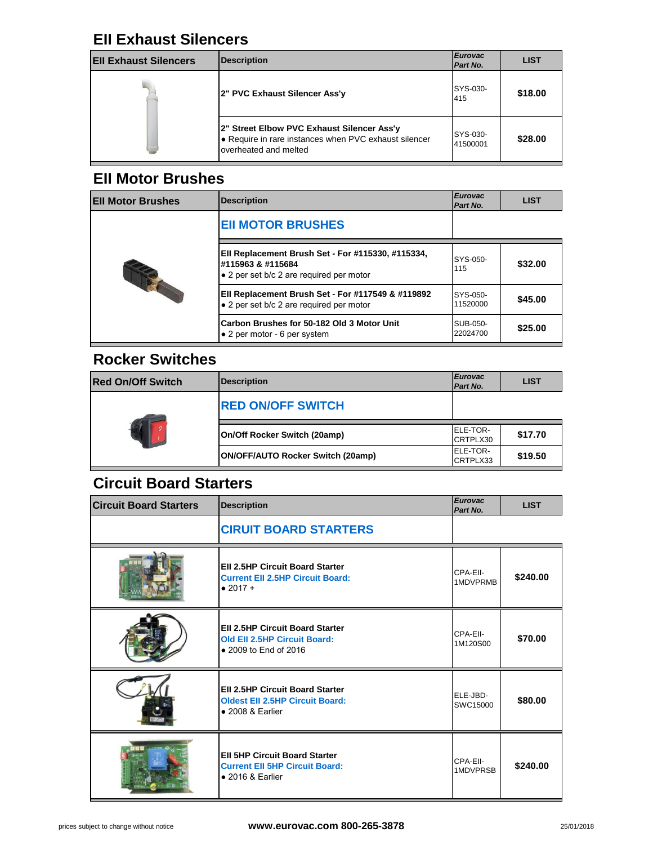#### **EII Exhaust Silencers**

| <b>Ell Exhaust Silencers</b> | Description                                                                                                                   | <b>Eurovac</b><br>Part No. |  |
|------------------------------|-------------------------------------------------------------------------------------------------------------------------------|----------------------------|--|
|                              | 2" PVC Exhaust Silencer Ass'y                                                                                                 | SYS-030-<br>415            |  |
|                              | 2" Street Elbow PVC Exhaust Silencer Ass'y<br>● Require in rare instances when PVC exhaust silencer<br>loverheated and melted | SYS-030-<br>41500001       |  |

### **EII Motor Brushes**

| <b>Ell Motor Brushes</b> | <b>Description</b>                                                                                                 | <b>Eurovac</b><br>Part No. |
|--------------------------|--------------------------------------------------------------------------------------------------------------------|----------------------------|
| THE                      | <b>EII MOTOR BRUSHES</b>                                                                                           |                            |
|                          | Ell Replacement Brush Set - For #115330, #115334,<br>#115963 & #115684<br>• 2 per set b/c 2 are required per motor | SYS-050-<br>115            |
|                          | Ell Replacement Brush Set - For #117549 & #119892<br>• 2 per set b/c 2 are required per motor                      | SYS-050-<br>11520000       |
|                          | Carbon Brushes for 50-182 Old 3 Motor Unit<br>$\bullet$ 2 per motor - 6 per system                                 | SUB-050-<br>22024700       |

#### **Rocker Switches**

| <b>Red On/Off Switch</b> | Description                       | <b>Eurovac</b><br>Part No. |
|--------------------------|-----------------------------------|----------------------------|
|                          | <b>RED ON/OFF SWITCH</b>          |                            |
|                          | On/Off Rocker Switch (20amp)      | ELE-TOR-<br>CRTPLX30       |
|                          | ON/OFF/AUTO Rocker Switch (20amp) | ELE-TOR-<br>CRTPLX33       |

# **Circuit Board Starters**

| <b>Circuit Board Starters</b> | <b>Description</b>                                                                                           | <b>Eurovac</b><br>Part No. |
|-------------------------------|--------------------------------------------------------------------------------------------------------------|----------------------------|
|                               | <b>CIRUIT BOARD STARTERS</b>                                                                                 |                            |
|                               | <b>EII 2.5HP Circuit Board Starter</b><br><b>Current Ell 2.5HP Circuit Board:</b><br>$• 2017 +$              | CPA-EII-<br>1MDVPRMB       |
|                               | <b>EII 2.5HP Circuit Board Starter</b><br><b>Old Ell 2.5HP Circuit Board:</b><br>• 2009 to End of 2016       | CPA-EII-<br>1M120S00       |
|                               | <b>EII 2.5HP Circuit Board Starter</b><br><b>Oldest Ell 2.5HP Circuit Board:</b><br>$\bullet$ 2008 & Earlier | ELE-JBD-<br>SWC15000       |
|                               | <b>EII 5HP Circuit Board Starter</b><br><b>Current Ell 5HP Circuit Board:</b><br>$\bullet$ 2016 & Earlier    | CPA-EII-<br>1MDVPRSB       |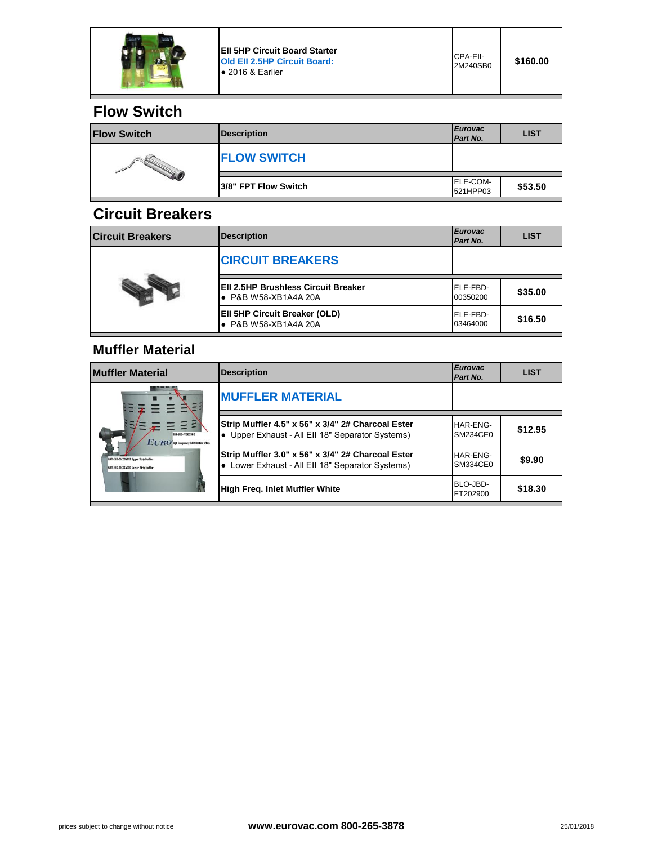

**EII 5HP Circuit Board Starter Old EII 2.5HP Circuit Board:**  ● 2016 & Earlier

### **Flow Switch**

| <b>Flow Switch</b> | <b>Description</b>   | <b>Eurovac</b><br>Part No.  |  |
|--------------------|----------------------|-----------------------------|--|
|                    | <b>FLOW SWITCH</b>   |                             |  |
|                    | 3/8" FPT Flow Switch | <b>ELE-COM-</b><br>521HPP03 |  |

#### **Circuit Breakers**

| <b>Circuit Breakers</b> | <b>Description</b>                                                 | <b>Eurovac</b><br>Part No. |
|-------------------------|--------------------------------------------------------------------|----------------------------|
|                         | <b>CIRCUIT BREAKERS</b>                                            |                            |
|                         | <b>EII 2.5HP Brushless Circuit Breaker</b><br>• P&B W58-XB1A4A 20A | ELE-FBD-<br>00350200       |
|                         | EII 5HP Circuit Breaker (OLD)<br>• P&B W58-XB1A4A 20A              | ELE-FBD-<br>03464000       |

#### **Muffler Material**

| <b>Muffler Material</b>                                                                                                                         | <b>Description</b>                                                                                    | <b>Eurovac</b><br>Part No. |
|-------------------------------------------------------------------------------------------------------------------------------------------------|-------------------------------------------------------------------------------------------------------|----------------------------|
| <b>RIO-JRD-FT702900</b><br>EURO Hah Frequency Inlet Huffler With<br>HAR-ENG-SM234CEO Usper Strip Hoffer<br>HAR-ENG-SH134CEO Lower Strip Huffler | <b>MUFFLER MATERIAL</b>                                                                               |                            |
|                                                                                                                                                 | Strip Muffler 4.5" x 56" x 3/4" 2# Charcoal Ester<br>• Upper Exhaust - All Ell 18" Separator Systems) | HAR-ENG-<br>SM234CE0       |
|                                                                                                                                                 | Strip Muffler 3.0" x 56" x 3/4" 2# Charcoal Ester<br>• Lower Exhaust - All Ell 18" Separator Systems) | HAR-ENG-<br>SM334CE0       |
|                                                                                                                                                 | High Freg. Inlet Muffler White                                                                        | BLO-JBD-<br>FT202900       |